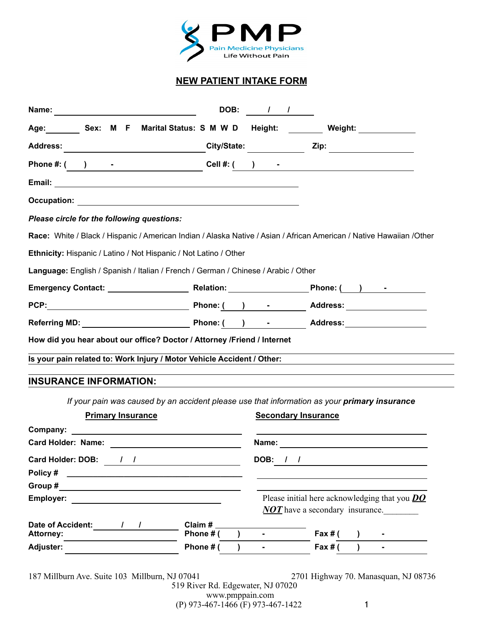

## **NEW PATIENT INTAKE FORM**

| Name:                                                                                                                                                                              |                          |                                                                                                                      | DOB:                | $\prime$<br>$\prime$                               |                                                                                                                                                                                                                                     |
|------------------------------------------------------------------------------------------------------------------------------------------------------------------------------------|--------------------------|----------------------------------------------------------------------------------------------------------------------|---------------------|----------------------------------------------------|-------------------------------------------------------------------------------------------------------------------------------------------------------------------------------------------------------------------------------------|
| Age:                                                                                                                                                                               |                          | Sex: M F Marital Status: S M W D                                                                                     |                     | Height: <b>All All All All All All All All All</b> | <b>Weight:</b> and the second second second second second second second second second second second second second second second second second second second second second second second second second second second second second s |
| <b>Address:</b>                                                                                                                                                                    |                          |                                                                                                                      |                     | City/State:                                        | Zip:                                                                                                                                                                                                                                |
| Phone $\#$ : $($ ) -                                                                                                                                                               |                          |                                                                                                                      | Cell #: $($ ) -     |                                                    |                                                                                                                                                                                                                                     |
| Email: <u>Contract Communication</u>                                                                                                                                               |                          |                                                                                                                      |                     |                                                    |                                                                                                                                                                                                                                     |
|                                                                                                                                                                                    |                          |                                                                                                                      |                     |                                                    |                                                                                                                                                                                                                                     |
| Please circle for the following questions:                                                                                                                                         |                          |                                                                                                                      |                     |                                                    |                                                                                                                                                                                                                                     |
|                                                                                                                                                                                    |                          |                                                                                                                      |                     |                                                    | Race: White / Black / Hispanic / American Indian / Alaska Native / Asian / African American / Native Hawaiian /Other                                                                                                                |
| Ethnicity: Hispanic / Latino / Not Hispanic / Not Latino / Other                                                                                                                   |                          |                                                                                                                      |                     |                                                    |                                                                                                                                                                                                                                     |
| Language: English / Spanish / Italian / French / German / Chinese / Arabic / Other                                                                                                 |                          |                                                                                                                      |                     |                                                    |                                                                                                                                                                                                                                     |
|                                                                                                                                                                                    |                          |                                                                                                                      |                     |                                                    |                                                                                                                                                                                                                                     |
|                                                                                                                                                                                    |                          |                                                                                                                      |                     |                                                    |                                                                                                                                                                                                                                     |
|                                                                                                                                                                                    |                          |                                                                                                                      |                     |                                                    |                                                                                                                                                                                                                                     |
|                                                                                                                                                                                    |                          |                                                                                                                      |                     |                                                    |                                                                                                                                                                                                                                     |
|                                                                                                                                                                                    |                          |                                                                                                                      |                     |                                                    |                                                                                                                                                                                                                                     |
| How did you hear about our office? Doctor / Attorney /Friend / Internet<br>Is your pain related to: Work Injury / Motor Vehicle Accident / Other:<br><b>INSURANCE INFORMATION:</b> |                          |                                                                                                                      |                     |                                                    |                                                                                                                                                                                                                                     |
|                                                                                                                                                                                    |                          |                                                                                                                      |                     |                                                    | If your pain was caused by an accident please use that information as your primary insurance                                                                                                                                        |
|                                                                                                                                                                                    | <b>Primary Insurance</b> |                                                                                                                      |                     |                                                    | <b>Secondary Insurance</b>                                                                                                                                                                                                          |
|                                                                                                                                                                                    |                          | <u> 1989 - Johann Stein, mars andrew Maria (b. 1989)</u>                                                             |                     |                                                    |                                                                                                                                                                                                                                     |
| Company:<br>Card Holder: Name: <u>________________________</u>                                                                                                                     |                          |                                                                                                                      |                     |                                                    | Name: <u>_______________________</u>                                                                                                                                                                                                |
|                                                                                                                                                                                    |                          |                                                                                                                      |                     | DOB: / /                                           |                                                                                                                                                                                                                                     |
|                                                                                                                                                                                    |                          | <u> 1989 - Johann John Stone, markin film yn y brening yn y brening yn y brening yn y brening yn y brening y bre</u> |                     |                                                    |                                                                                                                                                                                                                                     |
|                                                                                                                                                                                    |                          |                                                                                                                      |                     |                                                    |                                                                                                                                                                                                                                     |
| Card Holder: DOB: / /                                                                                                                                                              |                          |                                                                                                                      |                     |                                                    | Please initial here acknowledging that you $\underline{DO}$<br><b>NOT</b> have a secondary insurance.                                                                                                                               |
| Policy#<br>Group #<br><b>Employer:</b><br><b>Date of Accident:</b><br><b>Attorney:</b>                                                                                             | $\mathbf{I}$             | $\prime$                                                                                                             | Claim#<br>Phone # ( |                                                    | Fax # $($                                                                                                                                                                                                                           |

187 Millburn Ave. Suite 103 Millburn, NJ 07041 2701 Highway 70. Manasquan, NJ 08736 519 River Rd. Edgewater, NJ 07020 www.pmppain.com  $(P)$  973-467-1466 (F) 973-467-1422 1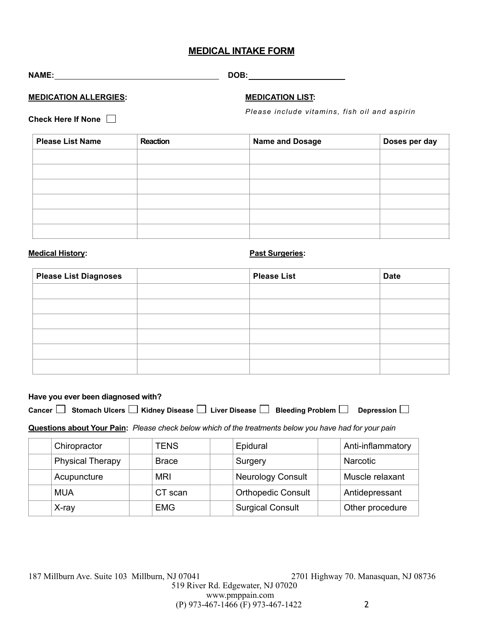## **MEDICAL INTAKE FORM**

**NAME:** DOB: DOB:

## **MEDICATION ALLERGIES: MEDICATION LIST:**

*Please include vitamins, fish oil and aspirin* 

**Check Here If None**

| <b>Please List Name</b> | Reaction | <b>Name and Dosage</b> | Doses per day |
|-------------------------|----------|------------------------|---------------|
|                         |          |                        |               |
|                         |          |                        |               |
|                         |          |                        |               |
|                         |          |                        |               |
|                         |          |                        |               |
|                         |          |                        |               |

**Medical History: Past Surgeries: Past Surgeries:** 

| <b>Please List</b> | <b>Date</b> |
|--------------------|-------------|
|                    |             |
|                    |             |
|                    |             |
|                    |             |
|                    |             |
|                    |             |
|                    |             |

| Have you ever been diagnosed with? |  |
|------------------------------------|--|
|------------------------------------|--|

| ancei |  |
|-------|--|
|       |  |

| $\Box$ Stomach Ulcers $\Box$ Kidney Disease $\Box$ Liver Disease $\Box$ Bleeding Problem $\Box$ Depression $\Box$ |  |  |
|-------------------------------------------------------------------------------------------------------------------|--|--|
|                                                                                                                   |  |  |

**Questions about Your Pain:** *Please check below which of the treatments below you have had for your pain* 

| Chiropractor            |     | <b>TENS</b>  | Epidural                  | Anti-inflammatory |
|-------------------------|-----|--------------|---------------------------|-------------------|
| <b>Physical Therapy</b> |     | <b>Brace</b> | Surgery                   | <b>Narcotic</b>   |
| Acupuncture             | MRI |              | <b>Neurology Consult</b>  | Muscle relaxant   |
| MUA                     |     | CT scan      | <b>Orthopedic Consult</b> | Antidepressant    |
| X-ray                   |     | <b>EMG</b>   | <b>Surgical Consult</b>   | Other procedure   |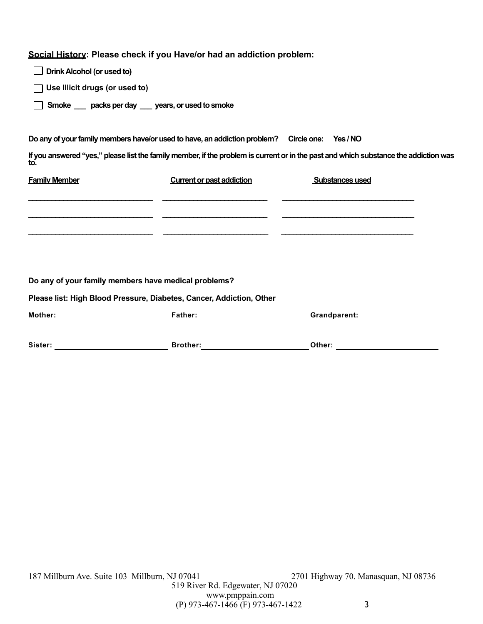| Social History: Please check if you Have/or had an addiction problem: |  |  |  |  |
|-----------------------------------------------------------------------|--|--|--|--|
|-----------------------------------------------------------------------|--|--|--|--|

| Drink Alcohol (or used to)                           |                                                                                                |                                                                                                                                      |  |
|------------------------------------------------------|------------------------------------------------------------------------------------------------|--------------------------------------------------------------------------------------------------------------------------------------|--|
| Use Illicit drugs (or used to)                       |                                                                                                |                                                                                                                                      |  |
| Smoke ____ packs per day ___ years, or used to smoke |                                                                                                |                                                                                                                                      |  |
|                                                      |                                                                                                |                                                                                                                                      |  |
|                                                      | Do any of your family members have/or used to have, an addiction problem? Circle one: Yes / NO |                                                                                                                                      |  |
| to.                                                  |                                                                                                | If you answered "yes," please list the family member, if the problem is current or in the past and which substance the addiction was |  |
| <b>Family Member</b>                                 | <b>Current or past addiction</b>                                                               | <b>Substances used</b>                                                                                                               |  |
|                                                      |                                                                                                | the contract of the contract of the contract of the contract of the contract of the contract of the contract of                      |  |
|                                                      |                                                                                                |                                                                                                                                      |  |
|                                                      |                                                                                                |                                                                                                                                      |  |
|                                                      |                                                                                                |                                                                                                                                      |  |
|                                                      |                                                                                                |                                                                                                                                      |  |
| Do any of your family members have medical problems? |                                                                                                |                                                                                                                                      |  |
|                                                      | Please list: High Blood Pressure, Diabetes, Cancer, Addiction, Other                           |                                                                                                                                      |  |
| Mother:                                              | <b>Father:</b>                                                                                 | Grandparent:                                                                                                                         |  |
| Sister:                                              | <b>Brother:</b>                                                                                | Other:                                                                                                                               |  |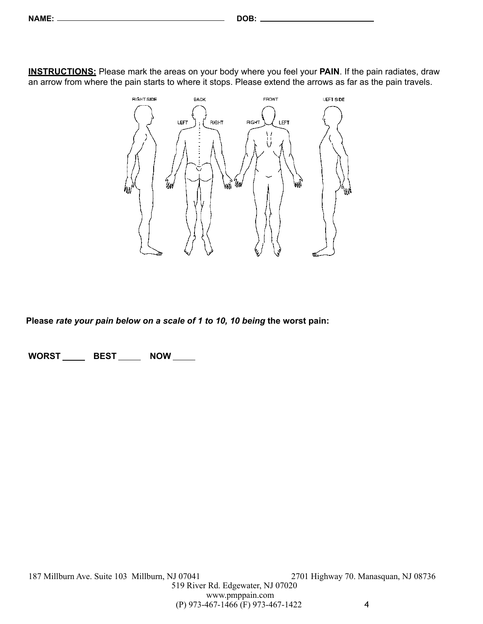**INSTRUCTIONS:** Please mark the areas on your body where you feel your **PAIN**. If the pain radiates, draw an arrow from where the pain starts to where it stops. Please extend the arrows as far as the pain travels.



**Please** *rate your pain below on a scale of 1 to 10, 10 being* **the worst pain:**

WORST BEST NOW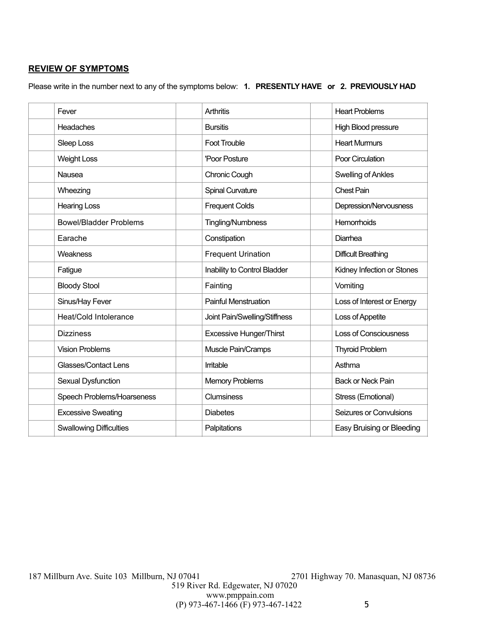## **REVIEW OF SYMPTOMS**

Please write in the number next to any of the symptoms below: **1. PRESENTLY HAVE or 2. PREVIOUSLY HAD** 

| Fever                          | <b>Arthritis</b>               | <b>Heart Problems</b>            |
|--------------------------------|--------------------------------|----------------------------------|
| Headaches                      | <b>Bursitis</b>                | High Blood pressure              |
| Sleep Loss                     | <b>Foot Trouble</b>            | <b>Heart Murmurs</b>             |
| <b>Weight Loss</b>             | 'Poor Posture                  | Poor Circulation                 |
| Nausea                         | Chronic Cough                  | <b>Swelling of Ankles</b>        |
| Wheezing                       | <b>Spinal Curvature</b>        | <b>Chest Pain</b>                |
| <b>Hearing Loss</b>            | <b>Frequent Colds</b>          | Depression/Nervousness           |
| <b>Bowel/Bladder Problems</b>  | <b>Tingling/Numbness</b>       | Hemorrhoids                      |
| Earache                        | Constipation                   | Diarrhea                         |
| Weakness                       | <b>Frequent Urination</b>      | <b>Difficult Breathing</b>       |
| Fatigue                        | Inability to Control Bladder   | Kidney Infection or Stones       |
| <b>Bloody Stool</b>            | Fainting                       | Vomiting                         |
| Sinus/Hay Fever                | <b>Painful Menstruation</b>    | Loss of Interest or Energy       |
| Heat/Cold Intolerance          | Joint Pain/Swelling/Stiffness  | Loss of Appetite                 |
| <b>Dizziness</b>               | <b>Excessive Hunger/Thirst</b> | Loss of Consciousness            |
| <b>Vision Problems</b>         | Muscle Pain/Cramps             | <b>Thyroid Problem</b>           |
| <b>Glasses/Contact Lens</b>    | Irritable                      | Asthma                           |
| Sexual Dysfunction             | <b>Memory Problems</b>         | <b>Back or Neck Pain</b>         |
| Speech Problems/Hoarseness     | <b>Clumsiness</b>              | Stress (Emotional)               |
| <b>Excessive Sweating</b>      | <b>Diabetes</b>                | Seizures or Convulsions          |
| <b>Swallowing Difficulties</b> | Palpitations                   | <b>Easy Bruising or Bleeding</b> |

187 Millburn Ave. Suite 103 Millburn, NJ 07041 2701 Highway 70. Manasquan, NJ 08736

 519 River Rd. Edgewater, NJ 07020 www.pmppain.com  $(P)$  973-467-1466 (F) 973-467-1422 5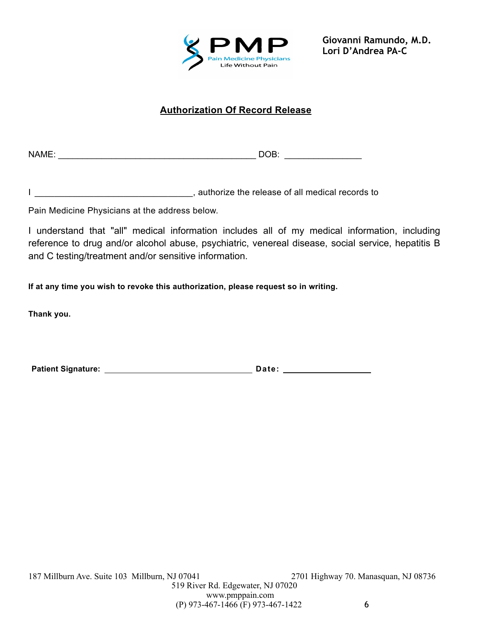

## **Authorization Of Record Release**

NAME: \_\_\_\_\_\_\_\_\_\_\_\_\_\_\_\_\_\_\_\_\_\_\_\_\_\_\_\_\_\_\_\_\_\_\_\_\_\_\_\_\_ DOB: \_\_\_\_\_\_\_\_\_\_\_\_\_\_\_\_

I , authorize the release of all medical records to \_\_\_\_\_\_\_\_\_\_\_\_\_\_\_\_\_\_\_\_\_\_\_\_\_\_\_\_\_\_\_\_

Pain Medicine Physicians at the address below.

I understand that "all" medical information includes all of my medical information, including reference to drug and/or alcohol abuse, psychiatric, venereal disease, social service, hepatitis B and C testing/treatment and/or sensitive information.

**If at any time you wish to revoke this authorization, please request so in writing.** 

**Thank you.** 

**Patient Signature: Date:**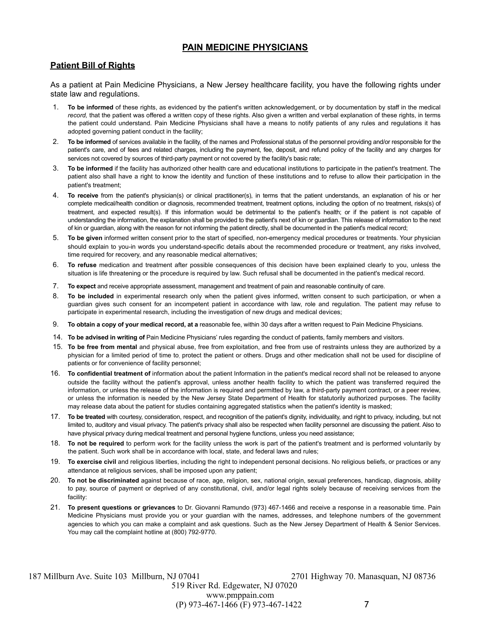## **PAIN MEDICINE PHYSICIANS**

### **Patient Bill of Rights**

As a patient at Pain Medicine Physicians, a New Jersey healthcare facility, you have the following rights under state law and regulations.

- 1. **To be informed** of these rights, as evidenced by the patient's written acknowledgement, or by documentation by staff in the medical *record,* that the patient was offered a written copy of these rights. Also given a written and verbal explanation of these rights, in terms the patient could understand. Pain Medicine Physicians shall have a means to notify patients of any rules and regulations it has adopted governing patient conduct in the facility;
- 2. **To be informed** of services available in the facility, of the names and Professional status of the personnel providing and/or responsible for the patient's care, and of fees and related charges, including the payment, fee, deposit, and refund policy of the facility and any charges for services not covered by sources of third-party payment or not covered by the facility's basic rate;
- 3. **To be informed** if the facility has authorized other health care and educational institutions to participate in the patient's treatment. The patient also shall have a right to know the identity and function of these institutions and to refuse to allow their participation in the patient's treatment;
- 4. **To receive** from the patient's physician(s) or clinical practitioner(s), in terms that the patient understands, an explanation of his or her complete medical/health condition or diagnosis, recommended treatment, treatment options, including the option of no treatment, risks(s) of treatment, and expected result(s). If this information would be detrimental to the patient's health; or if the patient is not capable of understanding the information, the explanation shall be provided to the patient's next of kin or guardian. This release of information to the next of kin or guardian, along with the reason for not informing the patient directly, shall be documented in the patient's medical record;
- 5. **To be given** informed written consent prior to the start of specified, non-emergency medical procedures or treatments. Your physician should explain to you-in words you understand-specific details about the recommended procedure or treatment, any risks involved, time required for recovery, and any reasonable medical alternatives;
- 6. **To refuse** medication and treatment after possible consequences of this decision have been explained clearly to you, unless the situation is life threatening or the procedure is required by law. Such refusal shall be documented in the patient's medical record.
- 7. **To expect** and receive appropriate assessment, management and treatment of pain and reasonable continuity of care.
- 8. **To be included** in experimental research only when the patient gives informed, written consent to such participation, or when a guardian gives such consent for an incompetent patient in accordance with law, role and regulation. The patient may refuse to participate in experimental research, including the investigation of new drugs and medical devices;
- 9. **To obtain a copy of your medical record, at a** reasonable fee, within 30 days after a written request to Pain Medicine Physicians.
- 14. **To be advised in writing of** Pain Medicine Physicians' rules regarding the conduct of patients, family members and visitors.
- 15. **To be free from mental** and physical abuse, free from exploitation, and free from use of restraints unless they are authorized by a physician for a limited period of time to, protect the patient or others. Drugs and other medication shall not be used for discipline of patients or for convenience of facility personnel;
- 16. **To confidential treatment of** information about the patient Information in the patient's medical record shall not be released to anyone outside the facility without the patient's approval, unless another health facility to which the patient was transferred required the information, or unless the release of the information is required and permitted by law, a third-party payment contract, or a peer review, or unless the information is needed by the New Jersey State Department of Health for statutorily authorized purposes. The facility may release data about the patient for studies containing aggregated statistics when the patient's identity is masked;
- 17. **To be treated** with courtesy, consideration, respect, and recognition of the patient's dignity, individuality, and right to privacy, including, but not limited to, auditory and visual privacy. The patient's privacy shall also be respected when facility personnel are discussing the patient. Also to have physical privacy during medical treatment and personal hygiene functions, unless you need assistance;
- 18. **To not be required** to perform work for the facility unless the work is part of the patient's treatment and is performed voluntarily by the patient. Such work shall be in accordance with local, state, and federal laws and rules;
- 19. **To exercise civil** and religious liberties, including the right to independent personal decisions. No religious beliefs, or practices or any attendance at religious services, shall be imposed upon any patient;
- 20. **To not be discriminated** against because of race, age, religion, sex, national origin, sexual preferences, handicap, diagnosis, ability to pay, source of payment or deprived of any constitutional, civil, and/or legal rights solely because of receiving services from the facility:
- 21. **To present questions or grievances** to Dr. Giovanni Ramundo (973) 467-1466 and receive a response in a reasonable time. Pain Medicine Physicians must provide you or your guardian with the names, addresses, and telephone numbers of the government agencies to which you can make a complaint and ask questions. Such as the New Jersey Department of Health & Senior Services. You may call the complaint hotline at (800) 792-9770.

187 Millburn Ave. Suite 103 Millburn, NJ 07041 2701 Highway 70. Manasquan, NJ 08736 519 River Rd. Edgewater, NJ 07020 www.pmppain.com (P) 973-467-1466 (F) 973-467-1422 7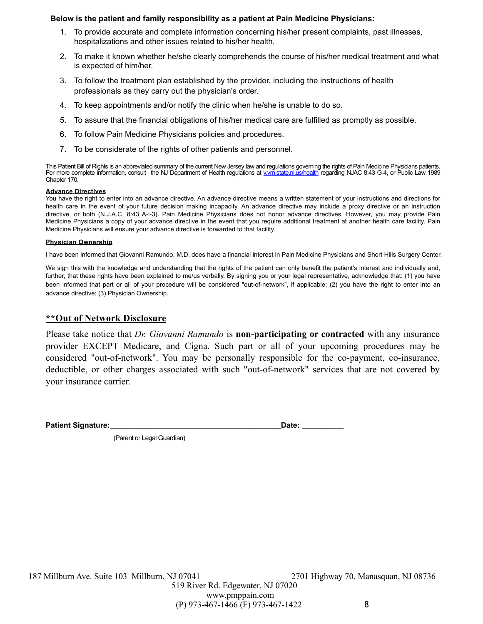### **Below is the patient and family responsibility as a patient at Pain Medicine Physicians:**

- 1. To provide accurate and complete information concerning his/her present complaints, past illnesses, hospitalizations and other issues related to his/her health.
- 2. To make it known whether he/she clearly comprehends the course of his/her medical treatment and what is expected of him/her.
- 3. To follow the treatment plan established by the provider, including the instructions of health professionals as they carry out the physician's order.
- 4. To keep appointments and/or notify the clinic when he/she is unable to do so.
- 5. To assure that the financial obligations of his/her medical care are fulfilled as promptly as possible.
- 6. To follow Pain Medicine Physicians policies and procedures.
- 7. To be considerate of the rights of other patients and personnel.

This Patient Bill of Rights is an abbreviated summary of the current New Jersey law and regulations governing the rights of Pain Medicine Physicians patients. For more complete information, consult the NJ Department of Health regulations at [v.vm.state.ni.us/health](http://v.vm.state.ni.us/health) regarding NJAC 8:43 G-4, or Public Law 1989 Chapter 170

### **Advance Directives**

You have the right to enter into an advance directive. An advance directive means a written statement of your instructions and directions for health care in the event of your future decision making incapacity. An advance directive may include a proxy directive or an instruction directive, or both (N.J.A.C. 8:43 A-l-3). Pain Medicine Physicians does not honor advance directives. However, you may provide Pain Medicine Physicians a copy of your advance directive in the event that you require additional treatment at another health care facility. Pain Medicine Physicians will ensure your advance directive is forwarded to that facility.

### **Physician Ownership**

I have been informed that Giovanni Ramundo, M.D. does have a financial interest in Pain Medicine Physicians and Short Hills Surgery Center.

We sign this with the knowledge and understanding that the rights of the patient can only benefit the patient's interest and individually and, further, that these rights have been explained to me/us verbally. By signing you or your legal representative, acknowledge that: (1) you have been informed that part or all of your procedure will be considered "out-of-network", if applicable; (2) you have the right to enter into an advance directive; (3) Physician Ownership.

## **\*\*Out of Network Disclosure**

Please take notice that *Dr. Giovanni Ramundo* is **non-participating or contracted** with any insurance provider EXCEPT Medicare, and Cigna. Such part or all of your upcoming procedures may be considered "out-of-network". You may be personally responsible for the co-payment, co-insurance, deductible, or other charges associated with such "out-of-network" services that are not covered by your insurance carrier.

**Patient Signature: Date: \_\_\_\_\_\_\_\_\_\_\_\_\_\_\_\_\_\_\_\_\_\_\_\_\_\_\_\_\_\_\_\_\_\_\_\_\_\_\_\_\_ \_\_\_\_\_\_\_\_\_\_**

(Parent or Legal Guardian)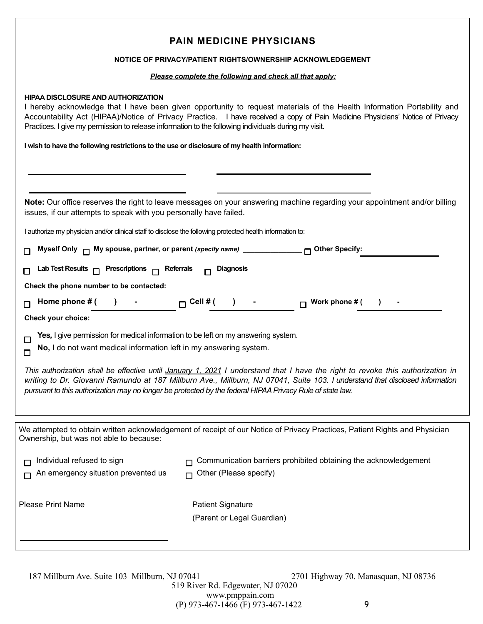| <b>PAIN MEDICINE PHYSICIANS</b>                                                                                                                                                                                                                                                                                                                                                                                                                                                                             |  |  |  |
|-------------------------------------------------------------------------------------------------------------------------------------------------------------------------------------------------------------------------------------------------------------------------------------------------------------------------------------------------------------------------------------------------------------------------------------------------------------------------------------------------------------|--|--|--|
| NOTICE OF PRIVACY/PATIENT RIGHTS/OWNERSHIP ACKNOWLEDGEMENT                                                                                                                                                                                                                                                                                                                                                                                                                                                  |  |  |  |
| Please complete the following and check all that apply:                                                                                                                                                                                                                                                                                                                                                                                                                                                     |  |  |  |
| <b>HIPAA DISCLOSURE AND AUTHORIZATION</b><br>I hereby acknowledge that I have been given opportunity to request materials of the Health Information Portability and<br>Accountability Act (HIPAA)/Notice of Privacy Practice. I have received a copy of Pain Medicine Physicians' Notice of Privacy<br>Practices. I give my permission to release information to the following individuals during my visit.<br>I wish to have the following restrictions to the use or disclosure of my health information: |  |  |  |
| Note: Our office reserves the right to leave messages on your answering machine regarding your appointment and/or billing                                                                                                                                                                                                                                                                                                                                                                                   |  |  |  |
| issues, if our attempts to speak with you personally have failed.                                                                                                                                                                                                                                                                                                                                                                                                                                           |  |  |  |
| I authorize my physician and/or clinical staff to disclose the following protected health information to:                                                                                                                                                                                                                                                                                                                                                                                                   |  |  |  |
| п                                                                                                                                                                                                                                                                                                                                                                                                                                                                                                           |  |  |  |
| Lab Test Results $\Box$ Prescriptions $\Box$ Referrals $\Box$ Diagnosis                                                                                                                                                                                                                                                                                                                                                                                                                                     |  |  |  |
| Check the phone number to be contacted:                                                                                                                                                                                                                                                                                                                                                                                                                                                                     |  |  |  |
| Home phone $#($ $)$ -<br>$\Box$ Cell # ( ) -<br>$\Box$ Work phone # ( ) -<br>$\Box$                                                                                                                                                                                                                                                                                                                                                                                                                         |  |  |  |
| Check your choice:                                                                                                                                                                                                                                                                                                                                                                                                                                                                                          |  |  |  |
| Yes, I give permission for medical information to be left on my answering system.<br>П<br>No, I do not want medical information left in my answering system.<br>$\Box$                                                                                                                                                                                                                                                                                                                                      |  |  |  |
| This authorization shall be effective until January 1, 2021 I understand that I have the right to revoke this authorization in<br>writing to Dr. Giovanni Ramundo at 187 Millburn Ave., Millburn, NJ 07041, Suite 103. I understand that disclosed information<br>pursuant to this authorization may no longer be protected by the federal HIPAA Privacy Rule of state law.                                                                                                                                 |  |  |  |
| We attempted to obtain written acknowledgement of receipt of our Notice of Privacy Practices, Patient Rights and Physician<br>Ownership, but was not able to because:                                                                                                                                                                                                                                                                                                                                       |  |  |  |
| Individual refused to sign<br>Communication barriers prohibited obtaining the acknowledgement<br>$\Box$ Other (Please specify)<br>An emergency situation prevented us                                                                                                                                                                                                                                                                                                                                       |  |  |  |
| <b>Please Print Name</b><br><b>Patient Signature</b><br>(Parent or Legal Guardian)                                                                                                                                                                                                                                                                                                                                                                                                                          |  |  |  |
|                                                                                                                                                                                                                                                                                                                                                                                                                                                                                                             |  |  |  |

187 Millburn Ave. Suite 103 Millburn, NJ 07041 2701 Highway 70. Manasquan, NJ 08736 519 River Rd. Edgewater, NJ 07020 www.pmppain.com  $(P)$  973-467-1466 (F) 973-467-1422 9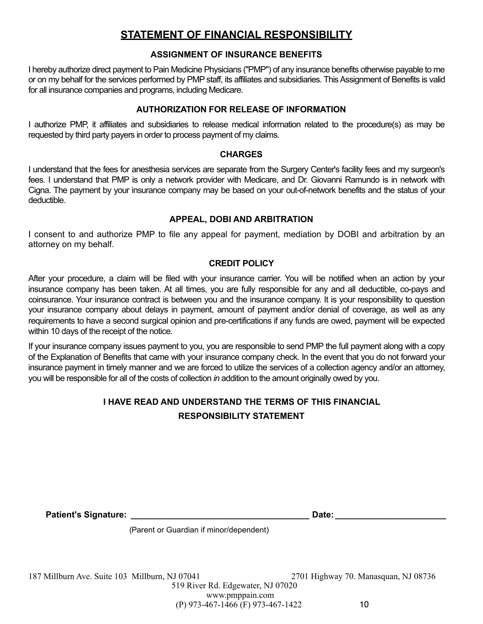## **STATEMENT OF FINANCIAL RESPONSIBILITY**

## **ASSIGNMENT OF INSURANCE BENEFITS**

I hereby authorize direct payment to Pain Medicine Physicians ("PMP") of any insurance benefits otherwise payable to me or on my behalf for the services performed by PMP staff, its affiliates and subsidiaries. This Assignment of Benefits is valid for all insurance companies and programs, including Medicare.

## **AUTHORIZATION FOR RELEASE OF INFORMATION**

I authorize PMP, it affiliates and subsidiaries to release medical information related to the procedure(s) as may be requested by third party payers in order to process payment of my claims.

## **CHARGES**

I understand that the fees for anesthesia services are separate from the Surgery Center's facility fees and my surgeon's fees. I understand that PMP is only a network provider with Medicare, and Dr. Giovanni Ramundo is in network with Cigna. The payment by your insurance company may be based on your out-of-network benefits and the status of your deductible.

## **APPEAL, DOBI AND ARBITRATION**

I consent to and authorize PMP to file any appeal for payment, mediation by DOBI and arbitration by an attorney on my behalf.

## **CREDIT POLICY**

After your procedure, a claim will be filed with your insurance carrier. You will be notified when an action by your insurance company has been taken. At all times, you are fully responsible for any and all deductible, co-pays and coinsurance. Your insurance contract is between you and the insurance company. It is your responsibility to question your insurance company about delays in payment, amount of payment and/or denial of coverage, as well as any requirements to have a second surgical opinion and pre-certifications if any funds are owed, payment will be expected within 10 days of the receipt of the notice.

If your insurance company issues payment to you, you are responsible to send PMP the full payment along with a copy of the Explanation of Benefits that came with your insurance company check. In the event that you do not forward your insurance payment in timely manner and we are forced to utilize the services of a collection agency and/or an attorney, you will be responsible for all of the costs of collection *in* addition to the amount originally owed by you.

## **I HAVE READ AND UNDERSTAND THE TERMS OF THIS FINANCIAL RESPONSIBILITY STATEMENT**

**Patient's Signature: Date: \_\_\_\_\_\_\_\_\_\_\_\_\_\_\_\_\_\_\_\_\_\_\_\_\_\_\_\_\_\_\_\_\_\_\_\_\_ \_\_\_\_\_\_\_\_\_\_\_\_\_\_\_\_\_\_\_\_\_\_\_**

(Parent or Guardian if minor/dependent)

187 Millburn Ave. Suite 103 Millburn, NJ 07041 2701 Highway 70. Manasquan, NJ 08736 519 River Rd. Edgewater, NJ 07020

 www.pmppain.com  $(P)$  973-467-1466 (F) 973-467-1422 10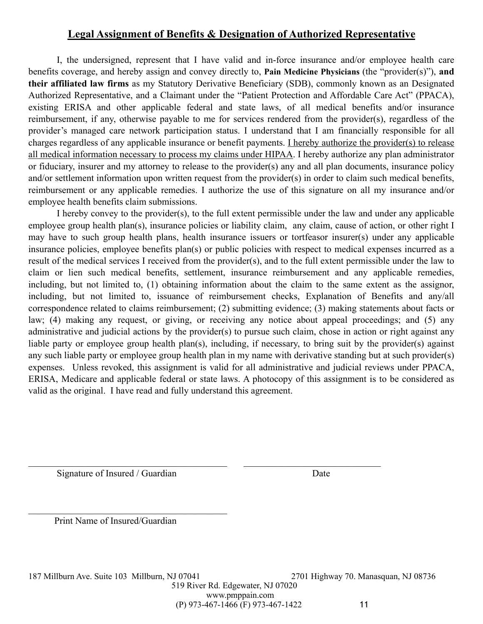## **Legal Assignment of Benefits & Designation of Authorized Representative**

 I, the undersigned, represent that I have valid and in-force insurance and/or employee health care benefits coverage, and hereby assign and convey directly to, **Pain Medicine Physicians** (the "provider(s)"), **and their affiliated law firms** as my Statutory Derivative Beneficiary (SDB), commonly known as an Designated Authorized Representative, and a Claimant under the "Patient Protection and Affordable Care Act" (PPACA), existing ERISA and other applicable federal and state laws, of all medical benefits and/or insurance reimbursement, if any, otherwise payable to me for services rendered from the provider(s), regardless of the provider's managed care network participation status. I understand that I am financially responsible for all charges regardless of any applicable insurance or benefit payments. I hereby authorize the provider(s) to release all medical information necessary to process my claims under HIPAA. I hereby authorize any plan administrator or fiduciary, insurer and my attorney to release to the provider(s) any and all plan documents, insurance policy and/or settlement information upon written request from the provider(s) in order to claim such medical benefits, reimbursement or any applicable remedies. I authorize the use of this signature on all my insurance and/or employee health benefits claim submissions.

I hereby convey to the provider(s), to the full extent permissible under the law and under any applicable employee group health plan(s), insurance policies or liability claim, any claim, cause of action, or other right I may have to such group health plans, health insurance issuers or tortfeasor insurer(s) under any applicable insurance policies, employee benefits plan(s) or public policies with respect to medical expenses incurred as a result of the medical services I received from the provider(s), and to the full extent permissible under the law to claim or lien such medical benefits, settlement, insurance reimbursement and any applicable remedies, including, but not limited to, (1) obtaining information about the claim to the same extent as the assignor, including, but not limited to, issuance of reimbursement checks, Explanation of Benefits and any/all correspondence related to claims reimbursement; (2) submitting evidence; (3) making statements about facts or law; (4) making any request, or giving, or receiving any notice about appeal proceedings; and (5) any administrative and judicial actions by the provider(s) to pursue such claim, chose in action or right against any liable party or employee group health plan(s), including, if necessary, to bring suit by the provider(s) against any such liable party or employee group health plan in my name with derivative standing but at such provider(s) expenses. Unless revoked, this assignment is valid for all administrative and judicial reviews under PPACA, ERISA, Medicare and applicable federal or state laws. A photocopy of this assignment is to be considered as valid as the original. I have read and fully understand this agreement.

Signature of Insured / Guardian Date

Print Name of Insured/Guardian

 $\mathcal{L}_\text{max}$  , and the set of the set of the set of the set of the set of the set of the set of the set of the set of the set of the set of the set of the set of the set of the set of the set of the set of the set of the

187 Millburn Ave. Suite 103 Millburn, NJ 07041 2701 Highway 70. Manasquan, NJ 08736

519 River Rd. Edgewater, NJ 07020

 www.pmppain.com (P) 973-467-1466 (F) 973-467-1422 11

 $\mathcal{L}_\text{max}$  , and the contribution of the contribution of the contribution of the contribution of the contribution of the contribution of the contribution of the contribution of the contribution of the contribution of t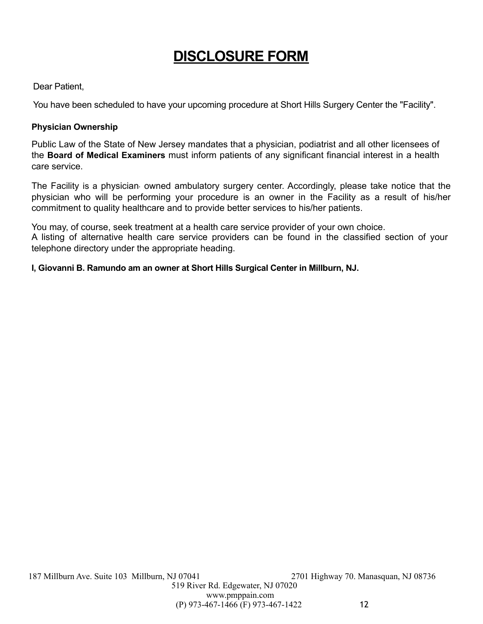# **DISCLOSURE FORM**

## Dear Patient,

You have been scheduled to have your upcoming procedure at Short Hills Surgery Center the "Facility".

## **Physician Ownership**

Public Law of the State of New Jersey mandates that a physician, podiatrist and all other licensees of the **Board of Medical Examiners** must inform patients of any significant financial interest in a health care service.

The Facility is a physician owned ambulatory surgery center. Accordingly, please take notice that the physician who will be performing your procedure is an owner in the Facility as a result of his/her commitment to quality healthcare and to provide better services to his/her patients.

You may, of course, seek treatment at a health care service provider of your own choice. A listing of alternative health care service providers can be found in the classified section of your telephone directory under the appropriate heading.

**I, Giovanni B. Ramundo am an owner at Short Hills Surgical Center in Millburn, NJ.**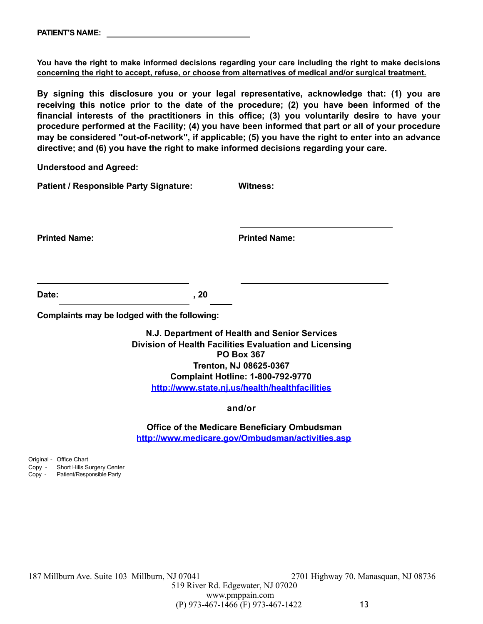**You have the right to make informed decisions regarding your care including the right to make decisions concerning the right to accept, refuse, or choose from alternatives of medical and/or surgical treatment.**

**By signing this disclosure you or your legal representative, acknowledge that: (1) you are receiving this notice prior to the date of the procedure; (2) you have been informed of the financial interests of the practitioners in this office; (3) you voluntarily desire to have your procedure performed at the Facility; (4) you have been informed that part or all of your procedure may be considered "out-of-network", if applicable; (5) you have the right to enter into an advance directive; and (6) you have the right to make informed decisions regarding your care.** 

| <b>Understood and Agreed:</b>                                                                          |      |                                                                                                                                                                                                                                                      |
|--------------------------------------------------------------------------------------------------------|------|------------------------------------------------------------------------------------------------------------------------------------------------------------------------------------------------------------------------------------------------------|
| Patient / Responsible Party Signature:                                                                 |      | <b>Witness:</b>                                                                                                                                                                                                                                      |
| <b>Printed Name:</b>                                                                                   |      | <b>Printed Name:</b>                                                                                                                                                                                                                                 |
| Date:                                                                                                  | , 20 |                                                                                                                                                                                                                                                      |
| Complaints may be lodged with the following:                                                           |      |                                                                                                                                                                                                                                                      |
|                                                                                                        |      | N.J. Department of Health and Senior Services<br>Division of Health Facilities Evaluation and Licensing<br><b>PO Box 367</b><br>Trenton, NJ 08625-0367<br><b>Complaint Hotline: 1-800-792-9770</b><br>http://www.state.ni.us/health/healthfacilities |
|                                                                                                        |      | and/or                                                                                                                                                                                                                                               |
|                                                                                                        |      | Office of the Medicare Beneficiary Ombudsman<br>http://www.medicare.gov/Ombudsman/activities.asp                                                                                                                                                     |
| Original - Office Chart<br>Short Hills Surgery Center<br>Copy -<br>Patient/Responsible Party<br>Copy - |      |                                                                                                                                                                                                                                                      |

187 Millburn Ave. Suite 103 Millburn, NJ 07041 2701 Highway 70. Manasquan, NJ 08736

 519 River Rd. Edgewater, NJ 07020 www.pmppain.com  $(P)$  973-467-1466 (F) 973-467-1422 13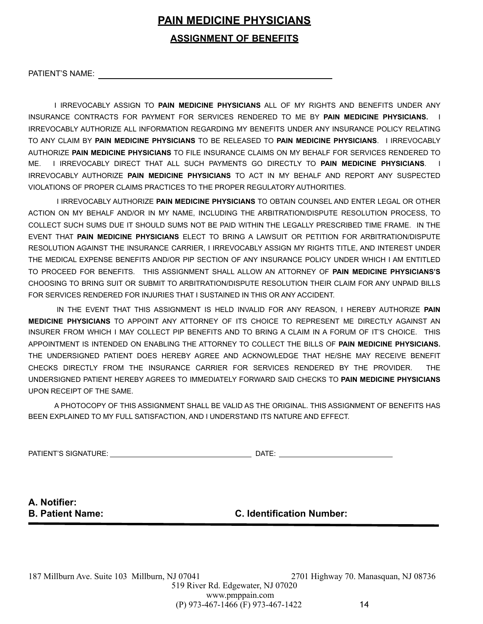## **PAIN MEDICINE PHYSICIANS ASSIGNMENT OF BENEFITS**

PATIENT'S NAME:

I IRREVOCABLY ASSIGN TO **PAIN MEDICINE PHYSICIANS** ALL OF MY RIGHTS AND BENEFITS UNDER ANY INSURANCE CONTRACTS FOR PAYMENT FOR SERVICES RENDERED TO ME BY **PAIN MEDICINE PHYSICIANS.** I IRREVOCABLY AUTHORIZE ALL INFORMATION REGARDING MY BENEFITS UNDER ANY INSURANCE POLICY RELATING TO ANY CLAIM BY **PAIN MEDICINE PHYSICIANS** TO BE RELEASED TO **PAIN MEDICINE PHYSICIANS**. I IRREVOCABLY AUTHORIZE **PAIN MEDICINE PHYSICIANS** TO FILE INSURANCE CLAIMS ON MY BEHALF FOR SERVICES RENDERED TO ME. I IRREVOCABLY DIRECT THAT ALL SUCH PAYMENTS GO DIRECTLY TO **PAIN MEDICINE PHYSICIANS**. I IRREVOCABLY AUTHORIZE **PAIN MEDICINE PHYSICIANS** TO ACT IN MY BEHALF AND REPORT ANY SUSPECTED VIOLATIONS OF PROPER CLAIMS PRACTICES TO THE PROPER REGULATORY AUTHORITIES.

 I IRREVOCABLY AUTHORIZE **PAIN MEDICINE PHYSICIANS** TO OBTAIN COUNSEL AND ENTER LEGAL OR OTHER ACTION ON MY BEHALF AND/OR IN MY NAME, INCLUDING THE ARBITRATION/DISPUTE RESOLUTION PROCESS, TO COLLECT SUCH SUMS DUE IT SHOULD SUMS NOT BE PAID WITHIN THE LEGALLY PRESCRIBED TIME FRAME. IN THE EVENT THAT **PAIN MEDICINE PHYSICIANS** ELECT TO BRING A LAWSUIT OR PETITION FOR ARBITRATION/DISPUTE RESOLUTION AGAINST THE INSURANCE CARRIER, I IRREVOCABLY ASSIGN MY RIGHTS TITLE, AND INTEREST UNDER THE MEDICAL EXPENSE BENEFITS AND/OR PIP SECTION OF ANY INSURANCE POLICY UNDER WHICH I AM ENTITLED TO PROCEED FOR BENEFITS. THIS ASSIGNMENT SHALL ALLOW AN ATTORNEY OF **PAIN MEDICINE PHYSICIANS'S** CHOOSING TO BRING SUIT OR SUBMIT TO ARBITRATION/DISPUTE RESOLUTION THEIR CLAIM FOR ANY UNPAID BILLS FOR SERVICES RENDERED FOR INJURIES THAT I SUSTAINED IN THIS OR ANY ACCIDENT.

 IN THE EVENT THAT THIS ASSIGNMENT IS HELD INVALID FOR ANY REASON, I HEREBY AUTHORIZE **PAIN MEDICINE PHYSICIANS** TO APPOINT ANY ATTORNEY OF ITS CHOICE TO REPRESENT ME DIRECTLY AGAINST AN INSURER FROM WHICH I MAY COLLECT PIP BENEFITS AND TO BRING A CLAIM IN A FORUM OF IT'S CHOICE. THIS APPOINTMENT IS INTENDED ON ENABLING THE ATTORNEY TO COLLECT THE BILLS OF **PAIN MEDICINE PHYSICIANS.** THE UNDERSIGNED PATIENT DOES HEREBY AGREE AND ACKNOWLEDGE THAT HE/SHE MAY RECEIVE BENEFIT CHECKS DIRECTLY FROM THE INSURANCE CARRIER FOR SERVICES RENDERED BY THE PROVIDER. THE UNDERSIGNED PATIENT HEREBY AGREES TO IMMEDIATELY FORWARD SAID CHECKS TO **PAIN MEDICINE PHYSICIANS**  UPON RECEIPT OF THE SAME.

A PHOTOCOPY OF THIS ASSIGNMENT SHALL BE VALID AS THE ORIGINAL. THIS ASSIGNMENT OF BENEFITS HAS BEEN EXPLAINED TO MY FULL SATISFACTION, AND I UNDERSTAND ITS NATURE AND EFFECT.

PATIENT'S SIGNATURE: DATE:

**A. Notifier:** 

**B. Patient Name: C. Identification Number:**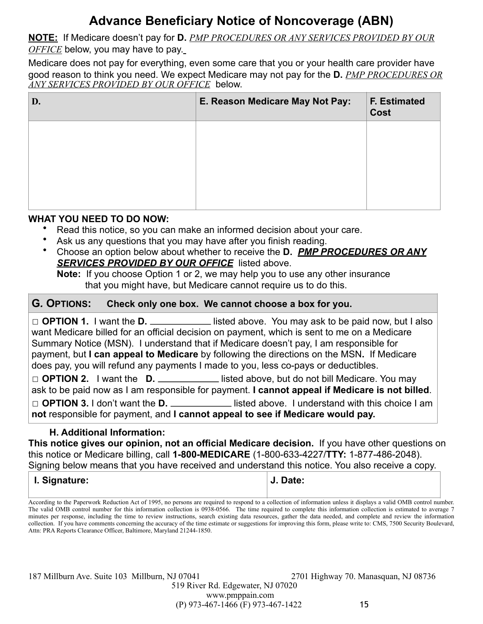## **Advance Beneficiary Notice of Noncoverage (ABN)**

**NOTE:** If Medicare doesn't pay for **D.** *PMP PROCEDURES OR ANY SERVICES PROVIDED BY OUR OFFICE* below, you may have to pay.

Medicare does not pay for everything, even some care that you or your health care provider have good reason to think you need. We expect Medicare may not pay for the **D.** *PMP PROCEDURES OR ANY SERVICES PROVIDED BY OUR OFFICE* below.

| D. | E. Reason Medicare May Not Pay: | F. Estimated<br>Cost |
|----|---------------------------------|----------------------|
|    |                                 |                      |
|    |                                 |                      |
|    |                                 |                      |

## **WHAT YOU NEED TO DO NOW:**

- Read this notice, so you can make an informed decision about your care.
- Ask us any questions that you may have after you finish reading.
- Choose an option below about whether to receive the **D.** *PMP PROCEDURES OR ANY*  **SERVICES PROVIDED BY OUR OFFICE** listed above.

**Note:** If you choose Option 1 or 2, we may help you to use any other insurance that you might have, but Medicare cannot require us to do this.

## **G***.* **OPTIONS: Check only one box. We cannot choose a box for you.**

□ **OPTION 1.** I want the **D.** <u>\_\_\_\_\_\_\_\_\_\_\_\_</u> listed above. You may ask to be paid now, but I also want Medicare billed for an official decision on payment, which is sent to me on a Medicare Summary Notice (MSN). I understand that if Medicare doesn't pay, I am responsible for payment, but **I can appeal to Medicare** by following the directions on the MSN**.** If Medicare does pay, you will refund any payments I made to you, less co-pays or deductibles.

□ **OPTION 2.** I want the **D.** <u>\_\_\_\_\_\_\_\_\_\_\_\_\_</u> listed above, but do not bill Medicare. You may ask to be paid now as I am responsible for payment. **I cannot appeal if Medicare is not billed**. □ **OPTION 3.** I don't want the **D**. <u>■ listed above. I understand with this choice I am</u> **not** responsible for payment, and **I cannot appeal to see if Medicare would pay.**

## **H. Additional Information:**

**This notice gives our opinion, not an official Medicare decision.** If you have other questions on this notice or Medicare billing, call **1-800-MEDICARE** (1-800-633-4227/**TTY:** 1-877-486-2048). Signing below means that you have received and understand this notice. You also receive a copy.

## **I. Signature: J. Date:**

According to the Paperwork Reduction Act of 1995, no persons are required to respond to a collection of information unless it displays a valid OMB control number. The valid OMB control number for this information collection is 0938-0566. The time required to complete this information collection is estimated to average 7 minutes per response, including the time to review instructions, search existing data resources, gather the data needed, and complete and review the information collection. If you have comments concerning the accuracy of the time estimate or suggestions for improving this form, please write to: CMS, 7500 Security Boulevard, Attn: PRA Reports Clearance Officer, Baltimore, Maryland 21244-1850.

187 Millburn Ave. Suite 103 Millburn, NJ 07041 2701 Highway 70. Manasquan, NJ 08736 519 River Rd. Edgewater, NJ 07020 www.pmppain.com (P) 973-467-1466 (F) 973-467-1422 15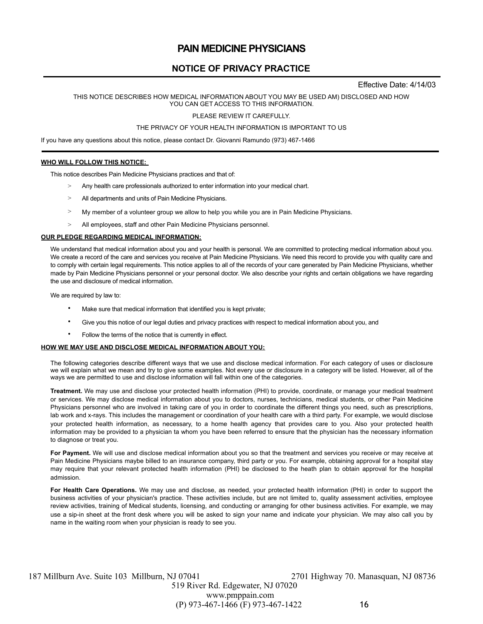## **PAIN MEDICINE PHYSICIANS**

## **NOTICE OF PRIVACY PRACTICE**

Effective Date: 4/14/03

### THIS NOTICE DESCRIBES HOW MEDICAL INFORMATION ABOUT YOU MAY BE USED AM) DISCLOSED AND HOW YOU CAN GET ACCESS TO THIS INFORMATION.

PLEASE REVIEW IT CAREFULLY.

### THE PRIVACY OF YOUR HEALTH INFORMATION IS IMPORTANT TO US

If you have any questions about this notice, please contact Dr. Giovanni Ramundo (973) 467-1466

### **WHO WILL FOLLOW THIS NOTICE:**

This notice describes Pain Medicine Physicians practices and that of:

- > Any health care professionals authorized to enter information into your medical chart.
- > All departments and units of Pain Medicine Physicians.
- > My member of a volunteer group we allow to help you while you are in Pain Medicine Physicians.
- > All employees, staff and other Pain Medicine Physicians personnel.

### **OUR PLEDGE REGARDING MEDICAL INFORMATION:**

We understand that medical information about you and your health is personal. We are committed to protecting medical information about you. We create a record of the care and services you receive at Pain Medicine Physicians. We need this record to provide you with quality care and to comply with certain legal requirements. This notice applies to all of the records of your care generated by Pain Medicine Physicians, whether made by Pain Medicine Physicians personnel or your personal doctor. We also describe your rights and certain obligations we have regarding the use and disclosure of medical information.

We are required by law to:

- Make sure that medical information that identified you is kept private;
- Give you this notice of our legal duties and privacy practices with respect to medical information about you, and
- Follow the terms of the notice that is currently in effect.

### **HOW WE MAY USE AND DISCLOSE MEDICAL INFORMATION ABOUT YOU:**

The following categories describe different ways that we use and disclose medical information. For each category of uses or disclosure we will explain what we mean and try to give some examples. Not every use or disclosure in a category will be listed. However, all of the ways we are permitted to use and disclose information will fall within one of the categories.

**Treatment.** We may use and disclose your protected health information (PHI) to provide, coordinate, or manage your medical treatment or services. We may disclose medical information about you to doctors, nurses, technicians, medical students, or other Pain Medicine Physicians personnel who are involved in taking care of you in order to coordinate the different things you need, such as prescriptions, lab work and x-rays. This includes the management or coordination of your health care with a third party. For example, we would disclose your protected health information, as necessary, to a home health agency that provides care to you. Also your protected health information may be provided to a physician ta whom you have been referred to ensure that the physician has the necessary information to diagnose or treat you.

**For Payment.** We will use and disclose medical information about you so that the treatment and services you receive or may receive at Pain Medicine Physicians maybe billed to an insurance company, third party or you. For example, obtaining approval for a hospital stay may require that your relevant protected health information (PHI) be disclosed to the heath plan to obtain approval for the hospital admission.

**For Health Care Operations.** We may use and disclose, as needed, your protected health information (PHI) in order to support the business activities of your physician's practice. These activities include, but are not limited to, quality assessment activities, employee review activities, training of Medical students, licensing, and conducting or arranging for other business activities. For example, we may use a sip-in sheet at the front desk where you will be asked to sign your name and indicate your physician. We may also call you by name in the waiting room when your physician is ready to see you.

187 Millburn Ave. Suite 103 Millburn, NJ 07041 2701 Highway 70. Manasquan, NJ 08736 519 River Rd. Edgewater, NJ 07020 www.pmppain.com (P) 973-467-1466 (F) 973-467-1422 16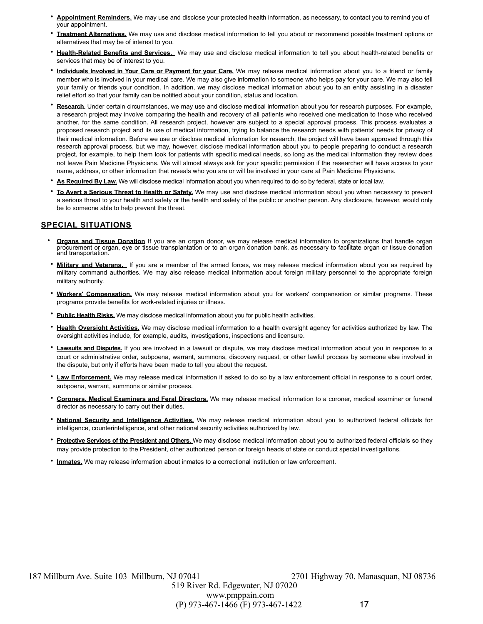- **Appointment Reminders.** We may use and disclose your protected health information, as necessary, to contact you to remind you of your appointment.
- **Treatment Alternatives.** We may use and disclose medical information to tell you about or recommend possible treatment options or alternatives that may be of interest to you.
- **Health-Related Benefits and Services.** We may use and disclose medical information to tell you about health-related benefits or services that may be of interest to you.
- **Individuals Involved in Your Care or Payment for your Care.** We may release medical information about you to a friend or family member who is involved in your medical care. We may also give information to someone who helps pay for your care. We may also tell your family or friends your condition. In addition, we may disclose medical information about you to an entity assisting in a disaster relief effort so that your family can be notified about your condition, status and location.
- **Research**. Under certain circumstances, we may use and disclose medical information about you for research purposes. For example, a research project may involve comparing the health and recovery of all patients who received one medication to those who received another, for the same condition. All research project, however are subject to a special approval process. This process evaluates a proposed research project and its use of medical information, trying to balance the research needs with patients' needs for privacy of their medical information. Before we use or disclose medical information for research, the project will have been approved through this research approval process, but we may, however, disclose medical information about you to people preparing to conduct a research project, for example, to help them look for patients with specific medical needs, so long as the medical information they review does not leave Pain Medicine Physicians. We will almost always ask for your specific permission if the researcher will have access to your name, address, or other information that reveals who you are or will be involved in your care at Pain Medicine Physicians.
- **As Required By Law.** We will disclose medical information about you when required to do so by federal, state or local law.
- **To Avert a Serious Threat to Health or Safety.** We may use and disclose medical information about you when necessary to prevent a serious threat to your health and safety or the health and safety of the public or another person. Any disclosure, however, would only be to someone able to help prevent the threat.

### **SPECIAL SITUATIONS**

- **Organs and Tissue Donation** If you are an organ donor, we may release medical information to organizations that handle organ procurement or organ, eye or tissue transplantation or to an organ donation bank, as necessary to facilitate organ or tissue donation and transportation.
- **Military and Veterans.** If you are a member of the armed forces, we may release medical information about you as required by military command authorities. We may also release medical information about foreign military personnel to the appropriate foreign military authority.
- **Workers' Compensation.** We may release medical information about you for workers' compensation or similar programs. These programs provide benefits for work-related injuries or illness.
- **Public Health Risks.** We may disclose medical information about you for public health activities.
- **Health Oversight Activities.** We may disclose medical information to a health oversight agency for activities authorized by law. The oversight activities include, for example, audits, investigations, inspections and licensure.
- **Lawsuits and Disputes.** If you are involved in a lawsuit or dispute, we may disclose medical information about you in response to a court or administrative order, subpoena, warrant, summons, discovery request, or other lawful process by someone else involved in the dispute, but only if efforts have been made to tell you about the request.
- **Law Enforcement.** We may release medical information if asked to do so by a law enforcement official in response to a court order, subpoena, warrant, summons or similar process.
- **Coroners, Medical Examiners and Feral Directors.** We may release medical information to a coroner, medical examiner or funeral director as necessary to carry out their duties.
- **National Security and Intelligence Activities.** We may release medical information about you to authorized federal officials for intelligence, counterintelligence, and other national security activities authorized by law.
- **Protective Services of the President and Others.** We may disclose medical information about you to authorized federal officials so they may provide protection to the President, other authorized person or foreign heads of state or conduct special investigations.
- **Inmates.** We may release information about inmates to a correctional institution or law enforcement.